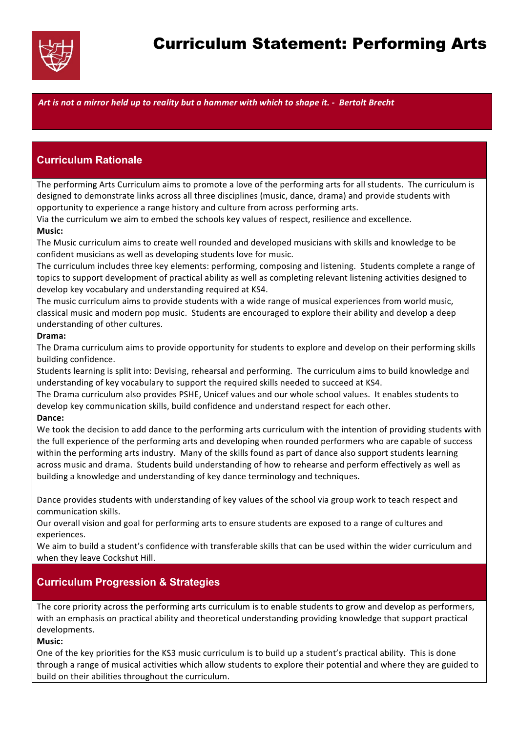

# Curriculum Statement: Performing Arts

*Art is not a mirror held up to reality but a hammer with which to shape it. - Bertolt Brecht*

## **Curriculum Rationale**

The performing Arts Curriculum aims to promote a love of the performing arts for all students. The curriculum is designed to demonstrate links across all three disciplines (music, dance, drama) and provide students with opportunity to experience a range history and culture from across performing arts.

Via the curriculum we aim to embed the schools key values of respect, resilience and excellence. **Music:** 

The Music curriculum aims to create well rounded and developed musicians with skills and knowledge to be confident musicians as well as developing students love for music.

The curriculum includes three key elements: performing, composing and listening. Students complete a range of topics to support development of practical ability as well as completing relevant listening activities designed to develop key vocabulary and understanding required at KS4.

The music curriculum aims to provide students with a wide range of musical experiences from world music, classical music and modern pop music. Students are encouraged to explore their ability and develop a deep understanding of other cultures.

#### **Drama:**

The Drama curriculum aims to provide opportunity for students to explore and develop on their performing skills building confidence.

Students learning is split into: Devising, rehearsal and performing. The curriculum aims to build knowledge and understanding of key vocabulary to support the required skills needed to succeed at KS4.

The Drama curriculum also provides PSHE, Unicef values and our whole school values. It enables students to develop key communication skills, build confidence and understand respect for each other.

#### Dance:

We took the decision to add dance to the performing arts curriculum with the intention of providing students with the full experience of the performing arts and developing when rounded performers who are capable of success within the performing arts industry. Many of the skills found as part of dance also support students learning across music and drama. Students build understanding of how to rehearse and perform effectively as well as building a knowledge and understanding of key dance terminology and techniques.

Dance provides students with understanding of key values of the school via group work to teach respect and communication skills.

Our overall vision and goal for performing arts to ensure students are exposed to a range of cultures and experiences. 

We aim to build a student's confidence with transferable skills that can be used within the wider curriculum and when they leave Cockshut Hill.

## **Curriculum Progression & Strategies**

The core priority across the performing arts curriculum is to enable students to grow and develop as performers, with an emphasis on practical ability and theoretical understanding providing knowledge that support practical developments.

#### **Music:**

One of the key priorities for the KS3 music curriculum is to build up a student's practical ability. This is done through a range of musical activities which allow students to explore their potential and where they are guided to build on their abilities throughout the curriculum.